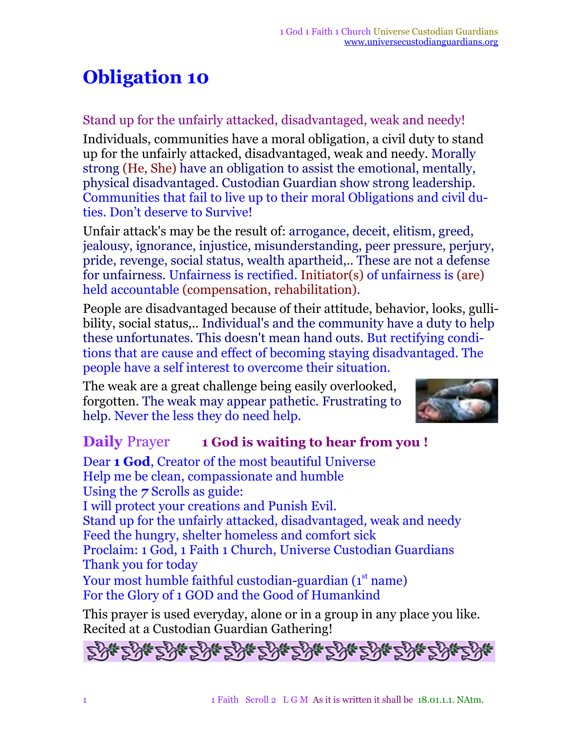## **Obligation 10**

## Stand up for the unfairly attacked, disadvantaged, weak and needy!

Individuals, communities have a moral obligation, a civil duty to stand up for the unfairly attacked, disadvantaged, weak and needy. Morally strong (He, She) have an obligation to assist the emotional, mentally, physical disadvantaged. Custodian Guardian show strong leadership. Communities that fail to live up to their moral Obligations and civil duties. Don't deserve to Survive!

Unfair attack's may be the result of: arrogance, deceit, elitism, greed, jealousy, ignorance, injustice, misunderstanding, peer pressure, perjury, pride, revenge, social status, wealth apartheid,.. These are not a defense for unfairness. Unfairness is rectified. Initiator(s) of unfairness is (are) held accountable (compensation, rehabilitation).

People are disadvantaged because of their attitude, behavior, looks, gullibility, social status,.. Individual's and the community have a duty to help these unfortunates. This doesn't mean hand outs. But rectifying conditions that are cause and effect of becoming staying disadvantaged. The people have a self interest to overcome their situation.

The weak are a great challenge being easily overlooked, forgotten. The weak may appear pathetic. Frustrating to help. Never the less they do need help.



## **Daily** Prayer **1 God is waiting to hear from you !**

Dear **1 God**, Creator of the most beautiful Universe Help me be clean, compassionate and humble Using the *7* Scrolls as guide: I will protect your creations and Punish Evil. Stand up for the unfairly attacked, disadvantaged, weak and needy Feed the hungry, shelter homeless and comfort sick Proclaim: 1 God, 1 Faith 1 Church, Universe Custodian Guardians Thank you for today Your most humble faithful custodian-guardian (1<sup>st</sup> name) For the Glory of 1 GOD and the Good of Humankind

This prayer is used everyday, alone or in a group in any place you like. Recited at a Custodian Guardian Gathering!